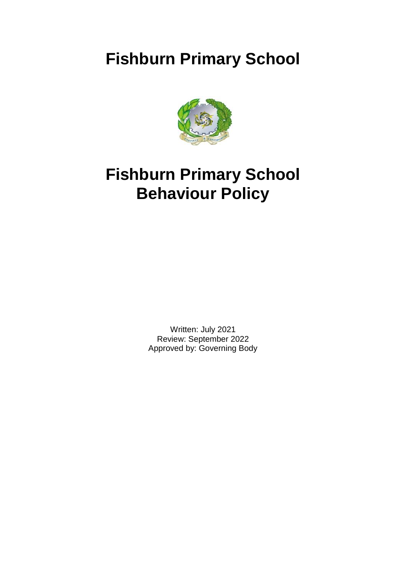# **Fishburn Primary School**



# **Fishburn Primary School Behaviour Policy**

Written: July 2021 Review: September 2022 Approved by: Governing Body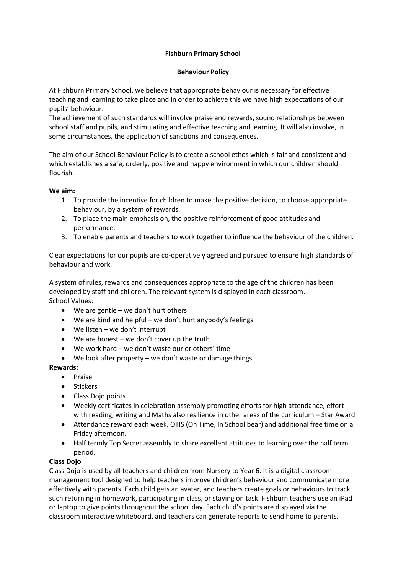# **Fishburn Primary School**

#### **Behaviour Policy**

At Fishburn Primary School, we believe that appropriate behaviour is necessary for effective teaching and learning to take place and in order to achieve this we have high expectations of our pupils' behaviour.

The achievement of such standards will involve praise and rewards, sound relationships between school staff and pupils, and stimulating and effective teaching and learning. It will also involve, in some circumstances, the application of sanctions and consequences.

The aim of our School Behaviour Policy is to create a school ethos which is fair and consistent and which establishes a safe, orderly, positive and happy environment in which our children should flourish.

# **We aim:**

- 1. To provide the incentive for children to make the positive decision, to choose appropriate behaviour, by a system of rewards.
- 2. To place the main emphasis on, the positive reinforcement of good attitudes and performance.
- 3. To enable parents and teachers to work together to influence the behaviour of the children.

Clear expectations for our pupils are co-operatively agreed and pursued to ensure high standards of behaviour and work.

A system of rules, rewards and consequences appropriate to the age of the children has been developed by staff and children. The relevant system is displayed in each classroom. School Values:

- We are gentle we don't hurt others
- We are kind and helpful we don't hurt anybody's feelings
- We listen we don't interrupt
- We are honest we don't cover up the truth
- We work hard we don't waste our or others' time
- We look after property we don't waste or damage things

#### **Rewards:**

- Praise
- **Stickers**
- Class Dojo points
- Weekly certificates in celebration assembly promoting efforts for high attendance, effort with reading, writing and Maths also resilience in other areas of the curriculum – Star Award
- Attendance reward each week, OTIS (On Time, In School bear) and additional free time on a Friday afternoon.
- Half termly Top Secret assembly to share excellent attitudes to learning over the half term period.

#### **Class Dojo**

Class Dojo is used by all teachers and children from Nursery to Year 6. It is a digital classroom management tool designed to help teachers improve children's behaviour and communicate more effectively with parents. Each child gets an avatar, and teachers create goals or behaviours to track, such returning in homework, participating in class, or staying on task. Fishburn teachers use an iPad or Iaptop to give points throughout the school day. Each child's points are displayed via the classroom interactive whiteboard, and teachers can generate reports to send home to parents.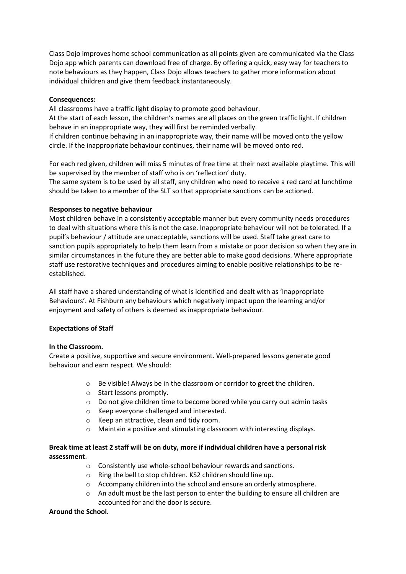Class Dojo improves home school communication as all points given are communicated via the Class Dojo app which parents can download free of charge. By offering a quick, easy way for teachers to note behaviours as they happen, Class Dojo allows teachers to gather more information about individual children and give them feedback instantaneously.

#### **Consequences:**

All classrooms have a traffic light display to promote good behaviour.

At the start of each lesson, the children's names are all places on the green traffic light. If children behave in an inappropriate way, they will first be reminded verbally.

If children continue behaving in an inappropriate way, their name will be moved onto the yellow circle. If the inappropriate behaviour continues, their name will be moved onto red.

For each red given, children will miss 5 minutes of free time at their next available playtime. This will be supervised by the member of staff who is on 'reflection' duty.

The same system is to be used by all staff, any children who need to receive a red card at lunchtime should be taken to a member of the SLT so that appropriate sanctions can be actioned.

#### **Responses to negative behaviour**

Most children behave in a consistently acceptable manner but every community needs procedures to deal with situations where this is not the case. Inappropriate behaviour will not be tolerated. If a pupil's behaviour / attitude are unacceptable, sanctions will be used. Staff take great care to sanction pupils appropriately to help them learn from a mistake or poor decision so when they are in similar circumstances in the future they are better able to make good decisions. Where appropriate staff use restorative techniques and procedures aiming to enable positive relationships to be reestablished.

All staff have a shared understanding of what is identified and dealt with as 'Inappropriate Behaviours'. At Fishburn any behaviours which negatively impact upon the learning and/or enjoyment and safety of others is deemed as inappropriate behaviour.

#### **Expectations of Staff**

#### **In the Classroom.**

Create a positive, supportive and secure environment. Well-prepared lessons generate good behaviour and earn respect. We should:

- o Be visible! Always be in the classroom or corridor to greet the children.
- o Start lessons promptly.
- o Do not give children time to become bored while you carry out admin tasks
- o Keep everyone challenged and interested.
- o Keep an attractive, clean and tidy room.
- o Maintain a positive and stimulating classroom with interesting displays.

# **Break time at least 2 staff will be on duty, more if individual children have a personal risk assessment**.

- o Consistently use whole-school behaviour rewards and sanctions.
- o Ring the bell to stop children. KS2 children should line up.
- o Accompany children into the school and ensure an orderly atmosphere.
- $\circ$  An adult must be the last person to enter the building to ensure all children are accounted for and the door is secure.

#### **Around the School.**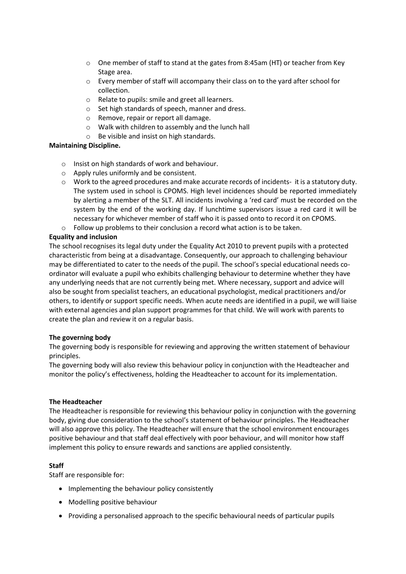- o One member of staff to stand at the gates from 8:45am (HT) or teacher from Key Stage area.
- o Every member of staff will accompany their class on to the yard after school for collection.
- o Relate to pupils: smile and greet all learners.
- o Set high standards of speech, manner and dress.
- o Remove, repair or report all damage.
- o Walk with children to assembly and the lunch hall
- o Be visible and insist on high standards.

# **Maintaining Discipline.**

- o Insist on high standards of work and behaviour.
- o Apply rules uniformly and be consistent.
- o Work to the agreed procedures and make accurate records of incidents- it is a statutory duty. The system used in school is CPOMS. High level incidences should be reported immediately by alerting a member of the SLT. All incidents involving a 'red card' must be recorded on the system by the end of the working day. If lunchtime supervisors issue a red card it will be necessary for whichever member of staff who it is passed onto to record it on CPOMS.
- o Follow up problems to their conclusion a record what action is to be taken.

# **Equality and inclusion**

The school recognises its legal duty under the Equality Act 2010 to prevent pupils with a protected characteristic from being at a disadvantage. Consequently, our approach to challenging behaviour may be differentiated to cater to the needs of the pupil. The school's special educational needs coordinator will evaluate a pupil who exhibits challenging behaviour to determine whether they have any underlying needs that are not currently being met. Where necessary, support and advice will also be sought from specialist teachers, an educational psychologist, medical practitioners and/or others, to identify or support specific needs. When acute needs are identified in a pupil, we will liaise with external agencies and plan support programmes for that child. We will work with parents to create the plan and review it on a regular basis.

#### **The governing body**

The governing body is responsible for reviewing and approving the written statement of behaviour principles.

The governing body will also review this behaviour policy in conjunction with the Headteacher and monitor the policy's effectiveness, holding the Headteacher to account for its implementation.

#### **The Headteacher**

The Headteacher is responsible for reviewing this behaviour policy in conjunction with the governing body, giving due consideration to the school's statement of behaviour principles. The Headteacher will also approve this policy. The Headteacher will ensure that the school environment encourages positive behaviour and that staff deal effectively with poor behaviour, and will monitor how staff implement this policy to ensure rewards and sanctions are applied consistently.

# **Staff**

Staff are responsible for:

- Implementing the behaviour policy consistently
- Modelling positive behaviour
- Providing a personalised approach to the specific behavioural needs of particular pupils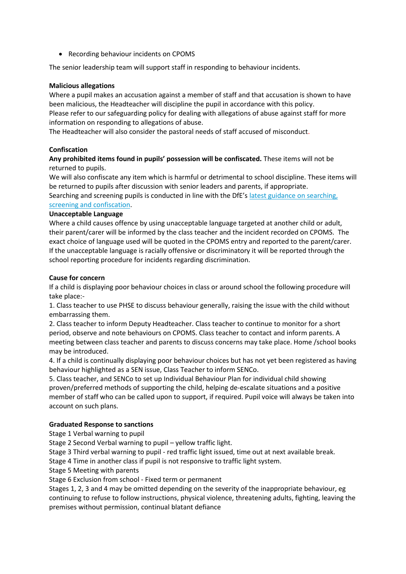• Recording behaviour incidents on CPOMS

The senior leadership team will support staff in responding to behaviour incidents.

## **Malicious allegations**

Where a pupil makes an accusation against a member of staff and that accusation is shown to have been malicious, the Headteacher will discipline the pupil in accordance with this policy.

Please refer to our safeguarding policy for dealing with allegations of abuse against staff for more information on responding to allegations of abuse.

The Headteacher will also consider the pastoral needs of staff accused of misconduct.

# **Confiscation**

**Any prohibited items found in pupils' possession will be confiscated.** These items will not be returned to pupils.

We will also confiscate any item which is harmful or detrimental to school discipline. These items will be returned to pupils after discussion with senior leaders and parents, if appropriate.

Searching and screening pupils is conducted in line with the DfE's latest [guidance on searching,](https://www.gov.uk/government/publications/searching-screening-and-confiscation)  [screening and confiscation.](https://www.gov.uk/government/publications/searching-screening-and-confiscation)

#### **Unacceptable Language**

Where a child causes offence by using unacceptable language targeted at another child or adult, their parent/carer will be informed by the class teacher and the incident recorded on CPOMS. The exact choice of language used will be quoted in the CPOMS entry and reported to the parent/carer. If the unacceptable language is racially offensive or discriminatory it will be reported through the school reporting procedure for incidents regarding discrimination.

#### **Cause for concern**

If a child is displaying poor behaviour choices in class or around school the following procedure will take place:-

1. Class teacher to use PHSE to discuss behaviour generally, raising the issue with the child without embarrassing them.

2. Class teacher to inform Deputy Headteacher. Class teacher to continue to monitor for a short period, observe and note behaviours on CPOMS. Class teacher to contact and inform parents. A meeting between class teacher and parents to discuss concerns may take place. Home /school books may be introduced.

4. If a child is continually displaying poor behaviour choices but has not yet been registered as having behaviour highlighted as a SEN issue, Class Teacher to inform SENCo.

5. Class teacher, and SENCo to set up Individual Behaviour Plan for individual child showing proven/preferred methods of supporting the child, helping de-escalate situations and a positive member of staff who can be called upon to support, if required. Pupil voice will always be taken into account on such plans.

# **Graduated Response to sanctions**

Stage 1 Verbal warning to pupil

Stage 2 Second Verbal warning to pupil – yellow traffic light.

Stage 3 Third verbal warning to pupil - red traffic light issued, time out at next available break.

Stage 4 Time in another class if pupil is not responsive to traffic light system.

Stage 5 Meeting with parents

Stage 6 Exclusion from school - Fixed term or permanent

Stages 1, 2, 3 and 4 may be omitted depending on the severity of the inappropriate behaviour, eg continuing to refuse to follow instructions, physical violence, threatening adults, fighting, leaving the premises without permission, continual blatant defiance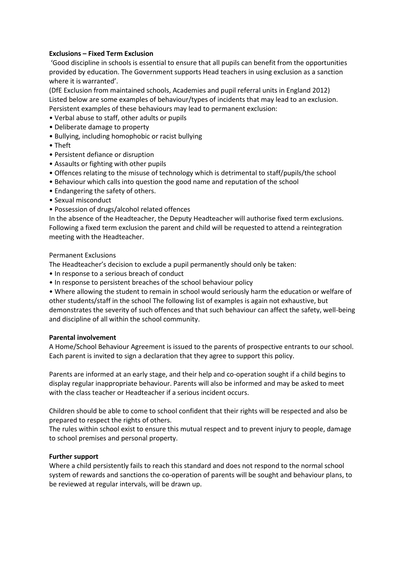### **Exclusions – Fixed Term Exclusion**

'Good discipline in schools is essential to ensure that all pupils can benefit from the opportunities provided by education. The Government supports Head teachers in using exclusion as a sanction where it is warranted'.

(DfE Exclusion from maintained schools, Academies and pupil referral units in England 2012) Listed below are some examples of behaviour/types of incidents that may lead to an exclusion. Persistent examples of these behaviours may lead to permanent exclusion:

- Verbal abuse to staff, other adults or pupils
- Deliberate damage to property
- Bullying, including homophobic or racist bullying
- Theft
- Persistent defiance or disruption
- Assaults or fighting with other pupils
- Offences relating to the misuse of technology which is detrimental to staff/pupils/the school
- Behaviour which calls into question the good name and reputation of the school
- Endangering the safety of others.
- Sexual misconduct
- Possession of drugs/alcohol related offences

In the absence of the Headteacher, the Deputy Headteacher will authorise fixed term exclusions. Following a fixed term exclusion the parent and child will be requested to attend a reintegration meeting with the Headteacher.

#### Permanent Exclusions

The Headteacher's decision to exclude a pupil permanently should only be taken:

- In response to a serious breach of conduct
- In response to persistent breaches of the school behaviour policy

• Where allowing the student to remain in school would seriously harm the education or welfare of other students/staff in the school The following list of examples is again not exhaustive, but demonstrates the severity of such offences and that such behaviour can affect the safety, well-being and discipline of all within the school community.

#### **Parental involvement**

A Home/School Behaviour Agreement is issued to the parents of prospective entrants to our school. Each parent is invited to sign a declaration that they agree to support this policy.

Parents are informed at an early stage, and their help and co-operation sought if a child begins to display regular inappropriate behaviour. Parents will also be informed and may be asked to meet with the class teacher or Headteacher if a serious incident occurs.

Children should be able to come to school confident that their rights will be respected and also be prepared to respect the rights of others.

The rules within school exist to ensure this mutual respect and to prevent injury to people, damage to school premises and personal property.

#### **Further support**

Where a child persistently fails to reach this standard and does not respond to the normal school system of rewards and sanctions the co-operation of parents will be sought and behaviour plans, to be reviewed at regular intervals, will be drawn up.